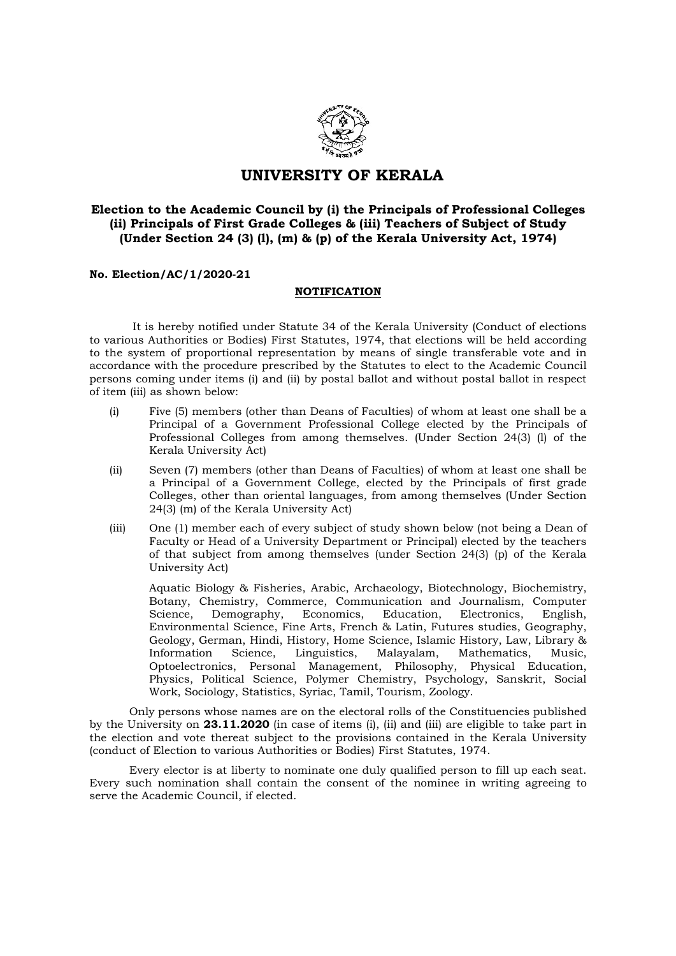

## UNIVERSITY OF KERALA

## Election to the Academic Council by (i) the Principals of Professional Colleges (ii) Principals of First Grade Colleges & (iii) Teachers of Subject of Study (Under Section 24 (3) (l), (m) & (p) of the Kerala University Act, 1974)

## No. Election/AC/1/2020-21

## NOTIFICATION

 It is hereby notified under Statute 34 of the Kerala University (Conduct of elections to various Authorities or Bodies) First Statutes, 1974, that elections will be held according to the system of proportional representation by means of single transferable vote and in accordance with the procedure prescribed by the Statutes to elect to the Academic Council persons coming under items (i) and (ii) by postal ballot and without postal ballot in respect of item (iii) as shown below:

- (i) Five (5) members (other than Deans of Faculties) of whom at least one shall be a Principal of a Government Professional College elected by the Principals of Professional Colleges from among themselves. (Under Section 24(3) (l) of the Kerala University Act)
- (ii) Seven (7) members (other than Deans of Faculties) of whom at least one shall be a Principal of a Government College, elected by the Principals of first grade Colleges, other than oriental languages, from among themselves (Under Section 24(3) (m) of the Kerala University Act)
- (iii) One (1) member each of every subject of study shown below (not being a Dean of Faculty or Head of a University Department or Principal) elected by the teachers of that subject from among themselves (under Section 24(3) (p) of the Kerala University Act)

Aquatic Biology & Fisheries, Arabic, Archaeology, Biotechnology, Biochemistry, Botany, Chemistry, Commerce, Communication and Journalism, Computer Science, Demography, Economics, Education, Electronics, English, Environmental Science, Fine Arts, French & Latin, Futures studies, Geography, Geology, German, Hindi, History, Home Science, Islamic History, Law, Library & Information Science, Linguistics, Malayalam, Mathematics, Music, Optoelectronics, Personal Management, Philosophy, Physical Education, Physics, Political Science, Polymer Chemistry, Psychology, Sanskrit, Social Work, Sociology, Statistics, Syriac, Tamil, Tourism, Zoology.

Only persons whose names are on the electoral rolls of the Constituencies published by the University on 23.11.2020 (in case of items (i), (ii) and (iii) are eligible to take part in the election and vote thereat subject to the provisions contained in the Kerala University (conduct of Election to various Authorities or Bodies) First Statutes, 1974.

Every elector is at liberty to nominate one duly qualified person to fill up each seat. Every such nomination shall contain the consent of the nominee in writing agreeing to serve the Academic Council, if elected.